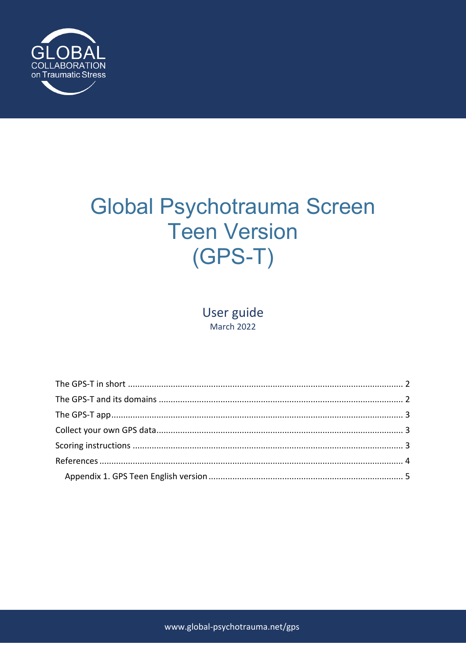

# **Global Psychotrauma Screen Teen Version**  $(GPS-T)$

User guide **March 2022**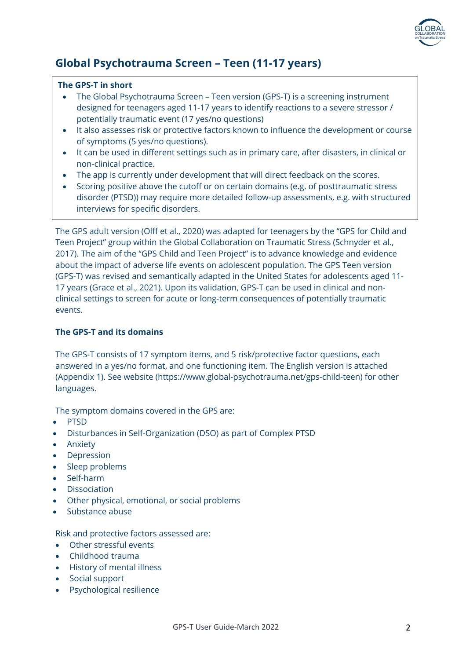

# **Global Psychotrauma Screen – Teen (11-17 years)**

#### **The GPS-T in short**

- The Global Psychotrauma Screen Teen version (GPS-T) is a screening instrument designed for teenagers aged 11-17 years to identify reactions to a severe stressor / potentially traumatic event (17 yes/no questions)
- It also assesses risk or protective factors known to influence the development or course of symptoms (5 yes/no questions).
- It can be used in different settings such as in primary care, after disasters, in clinical or non-clinical practice.
- The app is currently under development that will direct feedback on the scores.
- Scoring positive above the cutoff or on certain domains (e.g. of posttraumatic stress disorder (PTSD)) may require more detailed follow-up assessments, e.g. with structured interviews for specific disorders.

The GPS adult version (Olff et al., 2020) was adapted for teenagers by the "GPS for Child and Teen Project" group within the Global Collaboration on Traumatic Stress (Schnyder et al., 2017). The aim of the "GPS Child and Teen Project" is to advance knowledge and evidence about the impact of adverse life events on adolescent population. The GPS Teen version (GPS-T) was revised and semantically adapted in the United States for adolescents aged 11- 17 years (Grace et al., 2021). Upon its validation, GPS-T can be used in clinical and nonclinical settings to screen for acute or long-term consequences of potentially traumatic events.

### **The GPS-T and its domains**

The GPS-T consists of 17 symptom items, and 5 risk/protective factor questions, each answered in a yes/no format, and one functioning item. The English version is attached (Appendix 1). See website (https://www.global-psychotrauma.net/gps-child-teen) for other languages.

The symptom domains covered in the GPS are:

- PTSD
- Disturbances in Self-Organization (DSO) as part of Complex PTSD
- Anxiety
- **Depression**
- Sleep problems
- Self-harm
- **Dissociation**
- Other physical, emotional, or social problems
- Substance abuse

Risk and protective factors assessed are:

- Other stressful events
- Childhood trauma
- History of mental illness
- Social support
- Psychological resilience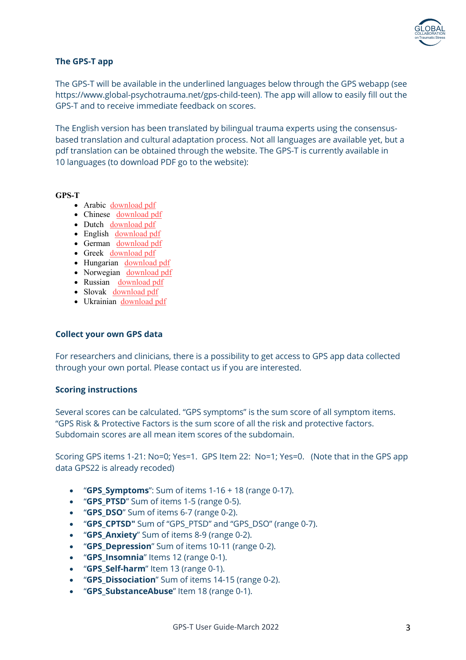

#### **The GPS-T app**

The GPS-T will be available in the underlined languages below through the GPS webapp (see https://www.global-psychotrauma.net/gps-child-teen). The app will allow to easily fill out the GPS-T and to receive immediate feedback on scores.

The English version has been translated by bilingual trauma experts using the consensusbased translation and cultural adaptation process. Not all languages are available yet, but a pdf translation can be obtained through the website. The GPS-T is currently available in 10 languages (to download PDF go to the website):

#### **GPS-T**

- Arabic download pdf
- Chinese download pdf
- Dutch download pdf
- English download pdf
- German download pdf
- Greek download pdf
- Hungarian download pdf
- Norwegian download pdf
- Russian download pdf
- Slovak download pdf
- Ukrainian download pdf

#### **Collect your own GPS data**

For researchers and clinicians, there is a possibility to get access to GPS app data collected through your own portal. Please contact us if you are interested.

#### **Scoring instructions**

Several scores can be calculated. "GPS symptoms" is the sum score of all symptom items. "GPS Risk & Protective Factors is the sum score of all the risk and protective factors. Subdomain scores are all mean item scores of the subdomain.

Scoring GPS items 1-21: No=0; Yes=1. GPS Item 22: No=1; Yes=0. (Note that in the GPS app data GPS22 is already recoded)

- "**GPS\_Symptoms**": Sum of items 1-16 + 18 (range 0-17).
- "**GPS\_PTSD**" Sum of items 1-5 (range 0-5).
- "**GPS\_DSO**" Sum of items 6-7 (range 0-2).
- "**GPS\_CPTSD"** Sum of "GPS\_PTSD" and "GPS\_DSO" (range 0-7).
- "**GPS\_Anxiety**" Sum of items 8-9 (range 0-2).
- "**GPS\_Depression**" Sum of items 10-11 (range 0-2).
- "**GPS\_Insomnia**" Items 12 (range 0-1).
- "**GPS\_Self-harm**" Item 13 (range 0-1).
- "**GPS\_Dissociation**" Sum of items 14-15 (range 0-2).
- "**GPS\_SubstanceAbuse**" Item 18 (range 0-1).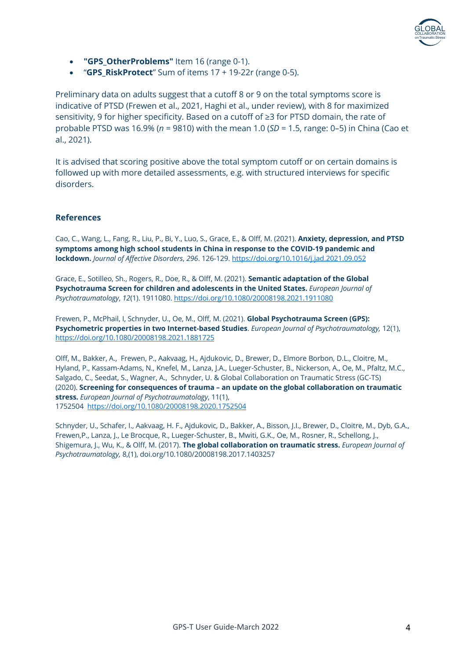

- **"GPS\_OtherProblems"** Item 16 (range 0-1).
- "**GPS\_RiskProtect**" Sum of items 17 + 19-22r (range 0-5).

Preliminary data on adults suggest that a cutoff 8 or 9 on the total symptoms score is indicative of PTSD (Frewen et al., 2021, Haghi et al., under review), with 8 for maximized sensitivity, 9 for higher specificity. Based on a cutoff of ≥3 for PTSD domain, the rate of probable PTSD was 16.9% (*n* = 9810) with the mean 1.0 (*SD* = 1.5, range: 0–5) in China (Cao et al., 2021).

It is advised that scoring positive above the total symptom cutoff or on certain domains is followed up with more detailed assessments, e.g. with structured interviews for specific disorders.

#### **References**

Cao, C., Wang, L., Fang, R., Liu, P., Bi, Y., Luo, S., Grace, E., & Olff, M. (2021). **Anxiety, depression, and PTSD symptoms among high school students in China in response to the COVID-19 pandemic and lockdown.** *Journal of Affective Disorders*, *296*. 126-129. https://doi.org/10.1016/j.jad.2021.09.052

Grace, E., Sotilleo, Sh., Rogers, R., Doe, R., & Olff, M. (2021). **Semantic adaptation of the Global Psychotrauma Screen for children and adolescents in the United States.** *European Journal of Psychotraumatology*, *12*(1). 1911080. https://doi.org/10.1080/20008198.2021.1911080

Frewen, P., McPhail, I, Schnyder, U., Oe, M., Olff, M. (2021). **Global Psychotrauma Screen (GPS): Psychometric properties in two Internet-based Studies**. *European Journal of Psychotraumatology,* 12(1), https://doi.org/10.1080/20008198.2021.1881725

Olff, M., Bakker, A., Frewen, P., Aakvaag, H., Ajdukovic, D., Brewer, D., Elmore Borbon, D.L., Cloitre, M., Hyland, P., Kassam-Adams, N., Knefel, M., Lanza, J.A., Lueger-Schuster, B., Nickerson, A., Oe, M., Pfaltz, M.C., Salgado, C., Seedat, S., Wagner, A., Schnyder, U. & Global Collaboration on Traumatic Stress (GC-TS) (2020). **Screening for consequences of trauma – an update on the global collaboration on traumatic stress.** *European Journal of Psychotraumatology*, 11(1), 1752504 https://doi.org/10.1080/20008198.2020.1752504

Schnyder, U., Schafer, I., Aakvaag, H. F., Ajdukovic, D., Bakker, A., Bisson, J.I., Brewer, D., Cloitre, M., Dyb, G.A., Frewen,P., Lanza, J., Le Brocque, R., Lueger-Schuster, B., Mwiti, G.K., Oe, M., Rosner, R., Schellong, J., Shigemura, J., Wu, K., & Olff, M. (2017). **The global collaboration on traumatic stress.** *European Journal of Psychotraumatology,* 8,(1), doi.org/10.1080/20008198.2017.1403257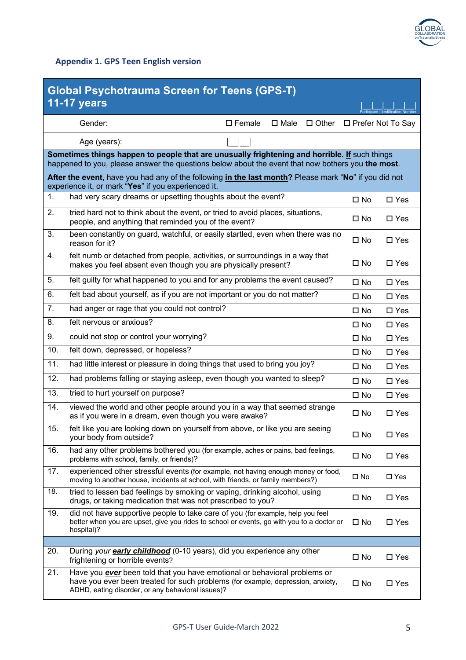

## **Appendix 1. GPS Teen English version**

| <b>Global Psychotrauma Screen for Teens (GPS-T)</b><br><b>11-17 years</b>                                                                                    |                                                                                                                                                                                                                          |                     |                                  |  |  |  |  |  |  |  |  |
|--------------------------------------------------------------------------------------------------------------------------------------------------------------|--------------------------------------------------------------------------------------------------------------------------------------------------------------------------------------------------------------------------|---------------------|----------------------------------|--|--|--|--|--|--|--|--|
|                                                                                                                                                              |                                                                                                                                                                                                                          |                     | Particinant Identification Numbe |  |  |  |  |  |  |  |  |
|                                                                                                                                                              | Gender:<br>$\square$ Female<br>$\square$ Male<br>$\Box$ Other                                                                                                                                                            | □ Prefer Not To Say |                                  |  |  |  |  |  |  |  |  |
|                                                                                                                                                              | Age (years):                                                                                                                                                                                                             |                     |                                  |  |  |  |  |  |  |  |  |
|                                                                                                                                                              | Sometimes things happen to people that are unusually frightening and horrible. If such things<br>happened to you, please answer the questions below about the event that now bothers you the most.                       |                     |                                  |  |  |  |  |  |  |  |  |
| After the event, have you had any of the following in the last month? Please mark "No" if you did not<br>experience it, or mark "Yes" if you experienced it. |                                                                                                                                                                                                                          |                     |                                  |  |  |  |  |  |  |  |  |
| 1.                                                                                                                                                           | had very scary dreams or upsetting thoughts about the event?                                                                                                                                                             | $\square$ No        | $\square$ Yes                    |  |  |  |  |  |  |  |  |
| 2.                                                                                                                                                           | tried hard not to think about the event, or tried to avoid places, situations,<br>people, and anything that reminded you of the event?                                                                                   | $\square$ No        | $\square$ Yes                    |  |  |  |  |  |  |  |  |
| 3.                                                                                                                                                           | been constantly on guard, watchful, or easily startled, even when there was no<br>reason for it?                                                                                                                         | $\square$ No        | $\square$ Yes                    |  |  |  |  |  |  |  |  |
| 4.                                                                                                                                                           | felt numb or detached from people, activities, or surroundings in a way that<br>makes you feel absent even though you are physically present?                                                                            | $\square$ No        | $\square$ Yes                    |  |  |  |  |  |  |  |  |
| 5.                                                                                                                                                           | felt guilty for what happened to you and for any problems the event caused?                                                                                                                                              | $\square$ No        | $\square$ Yes                    |  |  |  |  |  |  |  |  |
| 6.                                                                                                                                                           | felt bad about yourself, as if you are not important or you do not matter?                                                                                                                                               | $\square$ No        | $\square$ Yes                    |  |  |  |  |  |  |  |  |
| 7.                                                                                                                                                           | had anger or rage that you could not control?                                                                                                                                                                            | $\square$ No        | $\square$ Yes                    |  |  |  |  |  |  |  |  |
| 8.                                                                                                                                                           | felt nervous or anxious?                                                                                                                                                                                                 | $\square$ No        | $\square$ Yes                    |  |  |  |  |  |  |  |  |
| 9.                                                                                                                                                           | could not stop or control your worrying?                                                                                                                                                                                 | $\square$ No        | $\square$ Yes                    |  |  |  |  |  |  |  |  |
| 10.                                                                                                                                                          | felt down, depressed, or hopeless?                                                                                                                                                                                       | $\square$ No        | $\square$ Yes                    |  |  |  |  |  |  |  |  |
| 11.                                                                                                                                                          | had little interest or pleasure in doing things that used to bring you joy?                                                                                                                                              | $\square$ No        | $\square$ Yes                    |  |  |  |  |  |  |  |  |
| 12.                                                                                                                                                          | had problems falling or staying asleep, even though you wanted to sleep?                                                                                                                                                 | $\square$ No        | $\square$ Yes                    |  |  |  |  |  |  |  |  |
| 13.                                                                                                                                                          | tried to hurt yourself on purpose?                                                                                                                                                                                       | $\square$ No        | $\square$ Yes                    |  |  |  |  |  |  |  |  |
| 14.                                                                                                                                                          | viewed the world and other people around you in a way that seemed strange<br>as if you were in a dream, even though you were awake?                                                                                      | $\square$ No        | $\square$ Yes                    |  |  |  |  |  |  |  |  |
| 15.                                                                                                                                                          | felt like you are looking down on yourself from above, or like you are seeing<br>your body from outside?                                                                                                                 | $\square$ No        | $\square$ Yes                    |  |  |  |  |  |  |  |  |
| 16.                                                                                                                                                          | had any other problems bothered you (for example, aches or pains, bad feelings,<br>problems with school, family, or friends)?                                                                                            | $\square$ No        | $\square$ Yes                    |  |  |  |  |  |  |  |  |
| 17.                                                                                                                                                          | experienced other stressful events (for example, not having enough money or food,<br>moving to another house, incidents at school, with friends, or family members?)                                                     | $\square$ No        | $\square$ Yes                    |  |  |  |  |  |  |  |  |
| 18.                                                                                                                                                          | tried to lessen bad feelings by smoking or vaping, drinking alcohol, using<br>drugs, or taking medication that was not prescribed to you?                                                                                | $\square$ No        | $\square$ Yes                    |  |  |  |  |  |  |  |  |
| 19.                                                                                                                                                          | did not have supportive people to take care of you (for example, help you feel<br>better when you are upset, give you rides to school or events, go with you to a doctor or<br>hospital)?                                | $\square$ No        | $\square$ Yes                    |  |  |  |  |  |  |  |  |
|                                                                                                                                                              |                                                                                                                                                                                                                          |                     |                                  |  |  |  |  |  |  |  |  |
| 20.                                                                                                                                                          | During your <b>early childhood</b> (0-10 years), did you experience any other<br>frightening or horrible events?                                                                                                         | $\square$ No        | $\square$ Yes                    |  |  |  |  |  |  |  |  |
| 21.                                                                                                                                                          | Have you <b>ever</b> been told that you have emotional or behavioral problems or<br>have you ever been treated for such problems (for example, depression, anxiety,<br>ADHD, eating disorder, or any behavioral issues)? | $\square$ No        | $\square$ Yes                    |  |  |  |  |  |  |  |  |